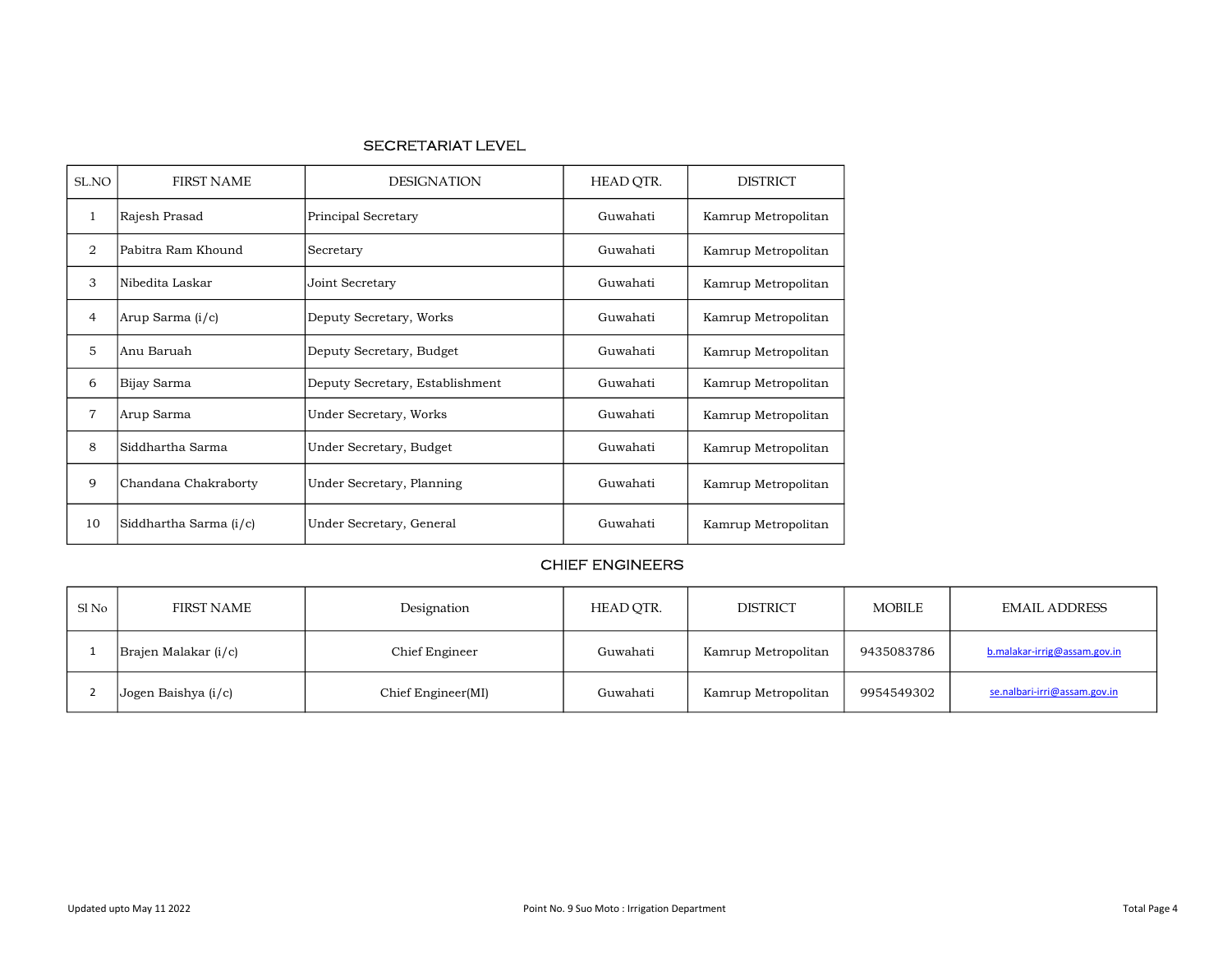### SECRETARIAT LEVEL

| SL.NO          | <b>FIRST NAME</b>                           | <b>DESIGNATION</b>              | HEAD QTR. | <b>DISTRICT</b>     |
|----------------|---------------------------------------------|---------------------------------|-----------|---------------------|
| 1              | Rajesh Prasad                               | Principal Secretary             | Guwahati  | Kamrup Metropolitan |
| 2              | Pabitra Ram Khound                          | Secretary                       | Guwahati  | Kamrup Metropolitan |
| 3              | Nibedita Laskar                             | Joint Secretary                 | Guwahati  | Kamrup Metropolitan |
| $\overline{4}$ | Arup Sarma (i/c)<br>Deputy Secretary, Works |                                 | Guwahati  | Kamrup Metropolitan |
| 5              | Anu Baruah                                  | Deputy Secretary, Budget        |           | Kamrup Metropolitan |
| 6              | Bijay Sarma                                 | Deputy Secretary, Establishment | Guwahati  | Kamrup Metropolitan |
| $\overline{7}$ | Arup Sarma                                  | Under Secretary, Works          |           | Kamrup Metropolitan |
| 8              | Siddhartha Sarma<br>Under Secretary, Budget |                                 | Guwahati  | Kamrup Metropolitan |
| 9              | Chandana Chakraborty                        | Under Secretary, Planning       |           | Kamrup Metropolitan |
| 10             | Siddhartha Sarma (i/c)                      | Under Secretary, General        | Guwahati  | Kamrup Metropolitan |

## CHIEF ENGINEERS

| Sl No | FIRST NAME           | Designation        | HEAD OTR. | <b>DISTRICT</b>     | <b>MOBILE</b> | <b>EMAIL ADDRESS</b>         |
|-------|----------------------|--------------------|-----------|---------------------|---------------|------------------------------|
|       | Brajen Malakar (i/c) | Chief Engineer     | Guwahati  | Kamrup Metropolitan | 9435083786    | b.malakar-irrig@assam.gov.in |
|       | Jogen Baishya (i/c)  | Chief Engineer(MI) | Guwahati  | Kamrup Metropolitan | 9954549302    | se.nalbari-irri@assam.gov.in |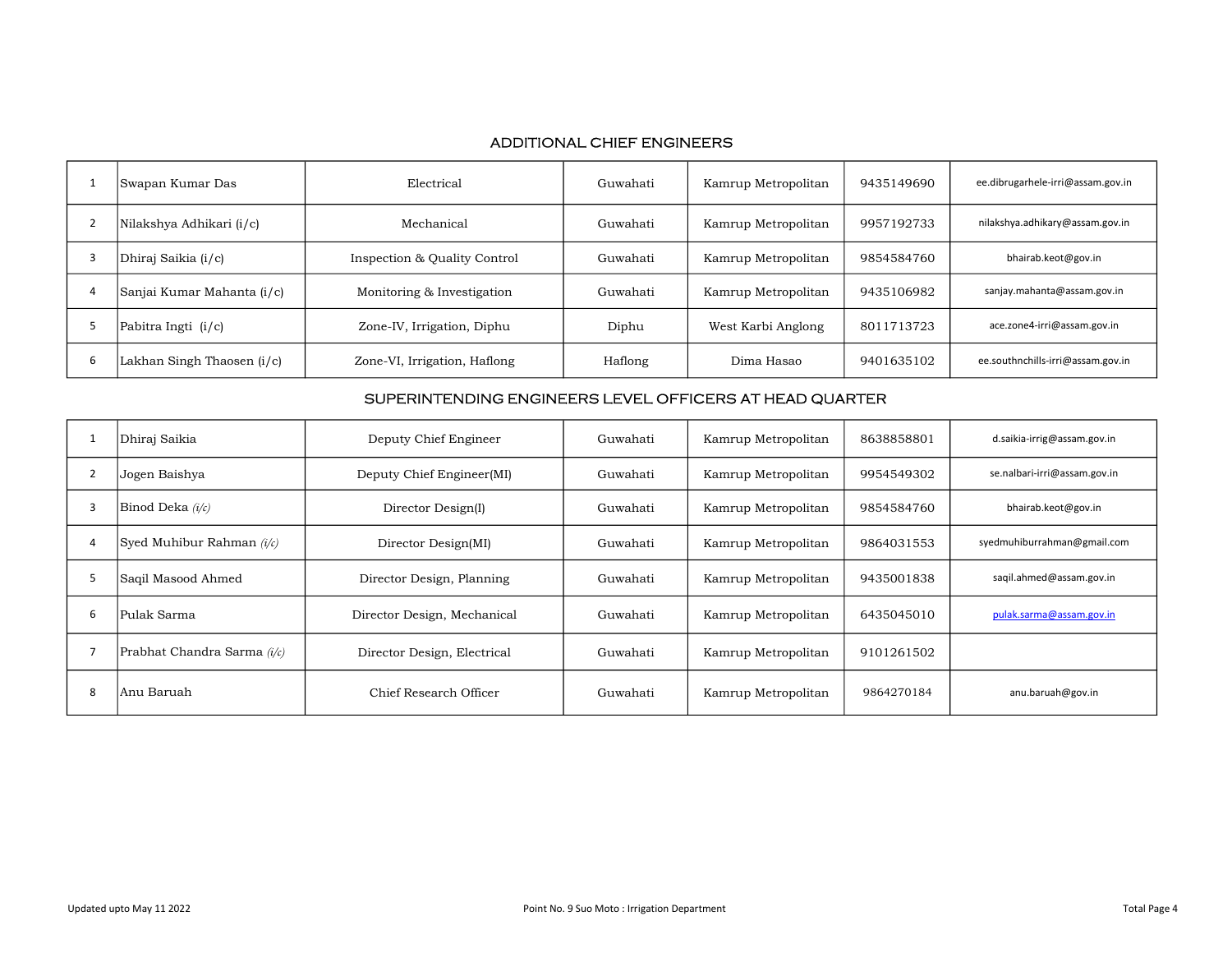## ADDITIONAL CHIEF ENGINEERS

|   | Swapan Kumar Das           | Electrical                   | Guwahati | Kamrup Metropolitan | 9435149690 | ee.dibrugarhele-irri@assam.gov.in |
|---|----------------------------|------------------------------|----------|---------------------|------------|-----------------------------------|
|   | Nilakshya Adhikari (i/c)   | Mechanical                   | Guwahati | Kamrup Metropolitan | 9957192733 | nilakshya.adhikary@assam.gov.in   |
|   | Dhiraj Saikia (i/c)        | Inspection & Quality Control | Guwahati | Kamrup Metropolitan | 9854584760 | bhairab.keot@gov.in               |
|   | Sanjai Kumar Mahanta (i/c) | Monitoring & Investigation   | Guwahati | Kamrup Metropolitan | 9435106982 | sanjay.mahanta@assam.gov.in       |
|   | Pabitra Ingti (i/c)        | Zone-IV, Irrigation, Diphu   | Diphu    | West Karbi Anglong  | 8011713723 | ace.zone4-irri@assam.gov.in       |
| b | Lakhan Singh Thaosen (i/c) | Zone-VI, Irrigation, Haflong | Haflong  | Dima Hasao          | 9401635102 | ee.southnchills-irri@assam.gov.in |

#### SUPERINTENDING ENGINEERS LEVEL OFFICERS AT HEAD QUARTER

|   | Dhiraj Saikia                 | Deputy Chief Engineer       | Guwahati | Kamrup Metropolitan | 8638858801 | d.saikia-irrig@assam.gov.in  |
|---|-------------------------------|-----------------------------|----------|---------------------|------------|------------------------------|
|   | Jogen Baishya                 | Deputy Chief Engineer(MI)   | Guwahati | Kamrup Metropolitan | 9954549302 | se.nalbari-irri@assam.gov.in |
| 3 | Binod Deka $(i/c)$            | Director Design(I)          | Guwahati | Kamrup Metropolitan | 9854584760 | bhairab.keot@gov.in          |
| 4 | Syed Muhibur Rahman $(i/c)$   | Director Design(MI)         | Guwahati | Kamrup Metropolitan | 9864031553 | syedmuhiburrahman@gmail.com  |
| 5 | Saqil Masood Ahmed            | Director Design, Planning   | Guwahati | Kamrup Metropolitan | 9435001838 | saqil.ahmed@assam.gov.in     |
| ь | Pulak Sarma                   | Director Design, Mechanical | Guwahati | Kamrup Metropolitan | 6435045010 | pulak.sarma@assam.gov.in     |
|   | Prabhat Chandra Sarma $(i/c)$ | Director Design, Electrical | Guwahati | Kamrup Metropolitan | 9101261502 |                              |
| 8 | Anu Baruah                    | Chief Research Officer      | Guwahati | Kamrup Metropolitan | 9864270184 | anu.baruah@gov.in            |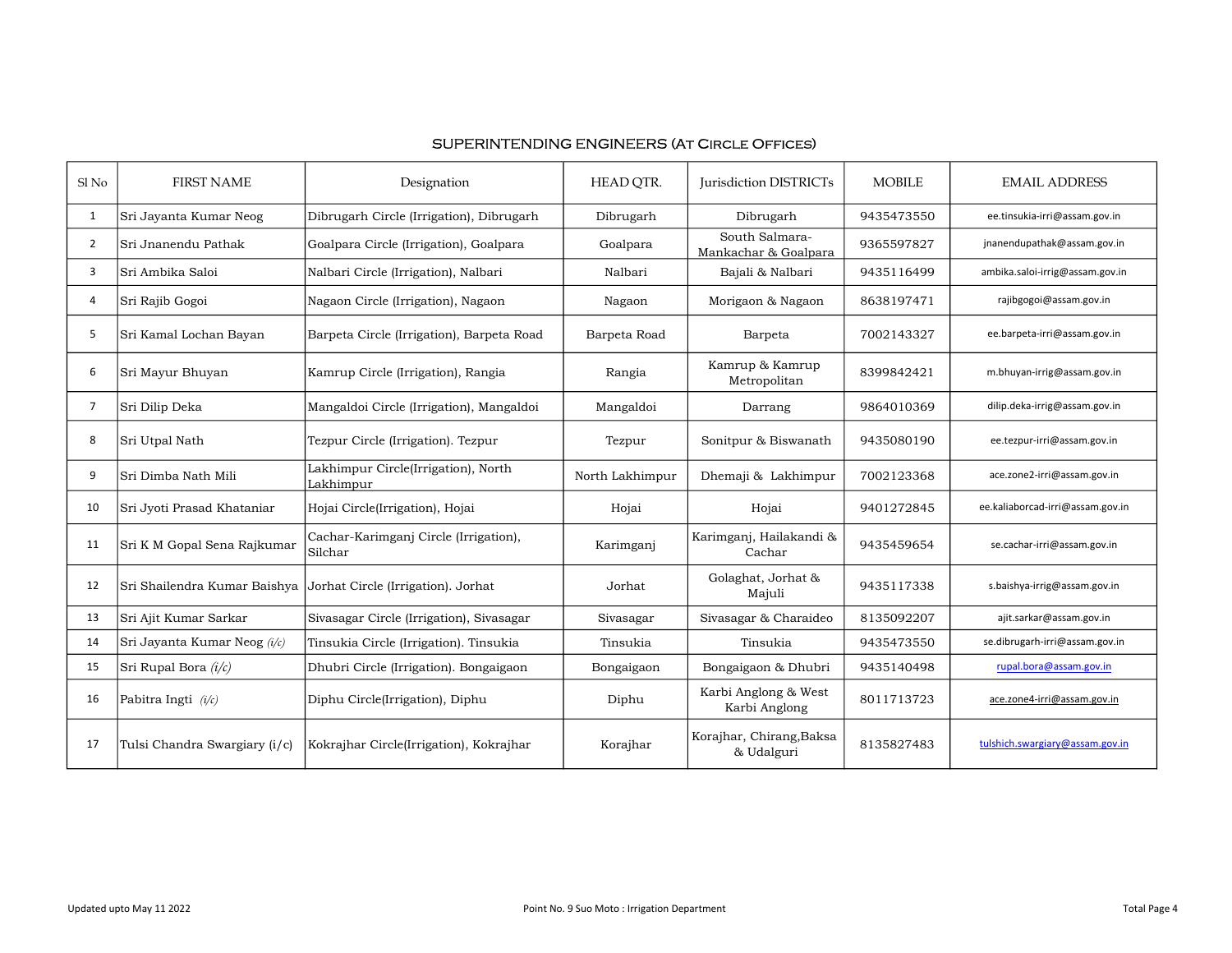| Sl No          | <b>FIRST NAME</b>             | Designation                                      | HEAD OTR.       | <b>Iurisdiction DISTRICTs</b>          | <b>MOBILE</b> | <b>EMAIL ADDRESS</b>             |
|----------------|-------------------------------|--------------------------------------------------|-----------------|----------------------------------------|---------------|----------------------------------|
| $\mathbf{1}$   | Sri Jayanta Kumar Neog        | Dibrugarh Circle (Irrigation), Dibrugarh         | Dibrugarh       | Dibrugarh                              | 9435473550    | ee.tinsukia-irri@assam.gov.in    |
| $\overline{2}$ | Sri Jnanendu Pathak           | Goalpara Circle (Irrigation), Goalpara           | Goalpara        | South Salmara-<br>Mankachar & Goalpara | 9365597827    | jnanendupathak@assam.gov.in      |
| 3              | Sri Ambika Saloi              | Nalbari Circle (Irrigation), Nalbari             | Nalbari         | Bajali & Nalbari                       | 9435116499    | ambika.saloi-irrig@assam.gov.in  |
| 4              | Sri Rajib Gogoi               | Nagaon Circle (Irrigation), Nagaon               | Nagaon          | Morigaon & Nagaon                      | 8638197471    | rajibgogoi@assam.gov.in          |
| 5              | Sri Kamal Lochan Bayan        | Barpeta Circle (Irrigation), Barpeta Road        | Barpeta Road    | Barpeta                                | 7002143327    | ee.barpeta-irri@assam.gov.in     |
| 6              | Sri Mayur Bhuyan              | Kamrup Circle (Irrigation), Rangia               | Rangia          | Kamrup & Kamrup<br>Metropolitan        | 8399842421    | m.bhuyan-irrig@assam.gov.in      |
| $\overline{7}$ | Sri Dilip Deka                | Mangaldoi Circle (Irrigation), Mangaldoi         | Mangaldoi       | Darrang                                | 9864010369    | dilip.deka-irrig@assam.gov.in    |
| 8              | Sri Utpal Nath                | Tezpur Circle (Irrigation). Tezpur               | Tezpur          | Sonitpur & Biswanath                   | 9435080190    | ee.tezpur-irri@assam.gov.in      |
| 9              | Sri Dimba Nath Mili           | Lakhimpur Circle(Irrigation), North<br>Lakhimpur | North Lakhimpur | Dhemaji & Lakhimpur                    | 7002123368    | ace.zone2-irri@assam.gov.in      |
| 10             | Sri Jyoti Prasad Khataniar    | Hojai Circle(Irrigation), Hojai                  | Hojai           | Hojai                                  | 9401272845    | ee.kaliaborcad-irri@assam.gov.in |
| 11             | Sri K M Gopal Sena Rajkumar   | Cachar-Karimganj Circle (Irrigation),<br>Silchar | Karimganj       | Karimganj, Hailakandi &<br>Cachar      | 9435459654    | se.cachar-irri@assam.gov.in      |
| 12             | Sri Shailendra Kumar Baishya  | Jorhat Circle (Irrigation). Jorhat               | Jorhat          | Golaghat, Jorhat &<br>Majuli           | 9435117338    | s.baishya-irrig@assam.gov.in     |
| 13             | Sri Ajit Kumar Sarkar         | Sivasagar Circle (Irrigation), Sivasagar         | Sivasagar       | Sivasagar & Charaideo                  | 8135092207    | ajit.sarkar@assam.gov.in         |
| 14             | Sri Jayanta Kumar Neog (i/c)  | Tinsukia Circle (Irrigation). Tinsukia           | Tinsukia        | Tinsukia                               | 9435473550    | se.dibrugarh-irri@assam.gov.in   |
| 15             | Sri Rupal Bora $(i/c)$        | Dhubri Circle (Irrigation). Bongaigaon           | Bongaigaon      | Bongaigaon & Dhubri                    | 9435140498    | rupal.bora@assam.gov.in          |
| 16             | Pabitra Ingti $(i/c)$         | Diphu Circle(Irrigation), Diphu                  | Diphu           | Karbi Anglong & West<br>Karbi Anglong  | 8011713723    | ace.zone4-irri@assam.gov.in      |
| 17             | Tulsi Chandra Swargiary (i/c) | Kokrajhar Circle(Irrigation), Kokrajhar          | Korajhar        | Korajhar, Chirang, Baksa<br>& Udalguri | 8135827483    | tulshich.swargiary@assam.gov.in  |

# SUPERINTENDING ENGINEERS (At Circle Offices)